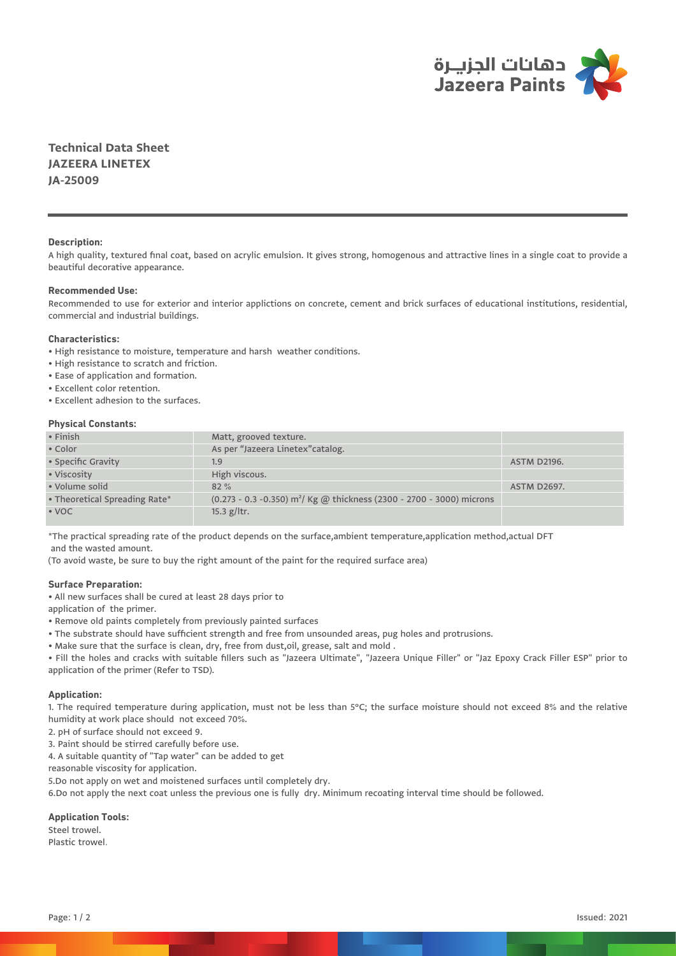

**Technical Data Sheet JAZEERA LINETEX JA-25009**

## **Description:**

A high quality, textured final coat, based on acrylic emulsion. It gives strong, homogenous and attractive lines in a single coat to provide a beautiful decorative appearance.

# **Recommended Use:**

Recommended to use for exterior and interior applictions on concrete, cement and brick surfaces of educational institutions, residential, commercial and industrial buildings.

#### **Characteristics:**

• High resistance to moisture, temperature and harsh weather conditions.

- High resistance to scratch and friction.
- Ease of application and formation.
- Excellent color retention.
- Excellent adhesion to the surfaces.

## **Physical Constants:**

| $\cdot$ Finish                | Matt, grooved texture.                                                               |                    |
|-------------------------------|--------------------------------------------------------------------------------------|--------------------|
| • Color                       | As per "Jazeera Linetex" catalog.                                                    |                    |
| • Specific Gravity            | 1.9                                                                                  | <b>ASTM D2196.</b> |
| • Viscosity                   | High viscous.                                                                        |                    |
| • Volume solid                | $82\%$                                                                               | <b>ASTM D2697.</b> |
| • Theoretical Spreading Rate* | $(0.273 - 0.3 - 0.350)$ m <sup>2</sup> / Kg @ thickness (2300 - 2700 - 3000) microns |                    |
| $\cdot$ VOC                   | $15.3$ g/ltr.                                                                        |                    |

\*The practical spreading rate of the product depends on the surface,ambient temperature,application method,actual DFT and the wasted amount.

(To avoid waste, be sure to buy the right amount of the paint for the required surface area)

# **Surface Preparation:**

• All new surfaces shall be cured at least 28 days prior to

application of the primer.

- Remove old paints completely from previously painted surfaces
- The substrate should have sufficient strength and free from unsounded areas, pug holes and protrusions.
- Make sure that the surface is clean, dry, free from dust,oil, grease, salt and mold .

• Fill the holes and cracks with suitable fillers such as "Jazeera Ultimate", "Jazeera Unique Filler" or "Jaz Epoxy Crack Filler ESP" prior to application of the primer (Refer to TSD).

#### **Application:**

1. The required temperature during application, must not be less than 5°C; the surface moisture should not exceed 8% and the relative humidity at work place should not exceed 70%.

2. pH of surface should not exceed 9.

3. Paint should be stirred carefully before use.

4. A suitable quantity of "Tap water" can be added to get

reasonable viscosity for application.

5.Do not apply on wet and moistened surfaces until completely dry.

6.Do not apply the next coat unless the previous one is fully dry. Minimum recoating interval time should be followed.

#### **Application Tools:**

Steel trowel.

Plastic trowel.